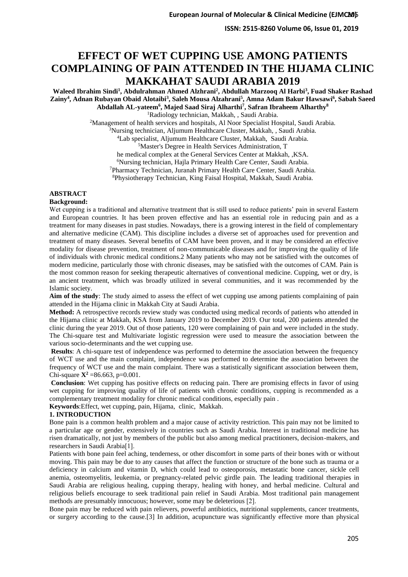# **EFFECT OF WET CUPPING USE AMONG PATIENTS COMPLAINING OF PAIN ATTENDED IN THE HIJAMA CLINIC MAKKAHAT SAUDI ARABIA 2019**

**Waleed Ibrahim Sindi<sup>1</sup> , Abdulrahman Ahmed Alzhrani<sup>2</sup> , Abdullah Marzooq Al Harbi<sup>3</sup> , Fuad Shaker Rashad Zainy<sup>4</sup> , Adnan Rubayan Obaid Alotaibi<sup>3</sup> , Saleh Mousa Alzahrani<sup>5</sup> , Amna Adam Bakur Hawsawi<sup>6</sup> , Sabah Saeed Abdallah AL-yateem<sup>6</sup> , Majed Saad Siraj Alharthi<sup>7</sup> , Safran Ibraheem Alharthy<sup>8</sup>** <sup>1</sup>Radiology technician, Makkah, , Saudi Arabia.

<sup>2</sup>Management of health services and hospitals, Al Noor Specialist Hospital, Saudi Arabia.

<sup>3</sup>Nursing technician, Aljumum Healthcare Cluster, Makkah, , Saudi Arabia.

<sup>4</sup>Lab specialist, Aljumum Healthcare Cluster, Makkah, Saudi Arabia.

<sup>5</sup>Master's Degree in Health Services Administration, T

he medical complex at the General Services Center at Makkah, ,KSA.

<sup>6</sup>Nursing technician, Hajla Primary Health Care Center, Saudi Arabia.

<sup>7</sup>Pharmacy Technician, Juranah Primary Health Care Center, Saudi Arabia.

<sup>8</sup>Physiotherapy Technician, King Faisal Hospital, Makkah, Saudi Arabia.

## **ABSTRACT**

**Background:**

Wet cupping is a traditional and alternative treatment that is still used to reduce patients' pain in several Eastern and European countries. It has been proven effective and has an essential role in reducing pain and as a treatment for many diseases in past studies. Nowadays, there is a growing interest in the field of complementary and alternative medicine (CAM). This discipline includes a diverse set of approaches used for prevention and treatment of many diseases. Several benefits of CAM have been proven, and it may be considered an effective modality for disease prevention, treatment of non-communicable diseases and for improving the quality of life of individuals with chronic medical conditions.2 Many patients who may not be satisfied with the outcomes of modern medicine, particularly those with chronic diseases, may be satisfied with the outcomes of CAM. Pain is the most common reason for seeking therapeutic alternatives of conventional medicine. Cupping, wet or dry, is an ancient treatment, which was broadly utilized in several communities, and it was recommended by the Islamic society.

**Aim of the study**: The study aimed to assess the effect of wet cupping use among patients complaining of pain attended in the Hijama clinic in Makkah City at Saudi Arabia.

**Method:** A retrospective records review study was conducted using medical records of patients who attended in the Hijama clinic at Makkah, KSA from January 2019 to December 2019. Our total, 200 patients attended the clinic during the year 2019. Out of those patients, 120 were complaining of pain and were included in the study. The Chi-square test and Multivariate logistic regression were used to measure the association between the various socio-determinants and the wet cupping use.

**Results**: A chi-square test of independence was performed to determine the association between the frequency of WCT use and the main complaint, independence was performed to determine the association between the frequency of WCT use and the main complaint. There was a statistically significant association between them, Chi-square  $X^2 = 86.663$ , p=0.001.

**Conclusion**: Wet cupping has positive effects on reducing pain. There are promising effects in favor of using wet cupping for improving quality of life of patients with chronic conditions, cupping is recommended as a complementary treatment modality for chronic medical conditions, especially pain .

**Keywords**:Effect, wet cupping, pain, Hijama, clinic, Makkah.

## **1. INTRODUCTION**

Bone pain is a common health problem and a major cause of activity restriction. This pain may not be limited to a particular age or gender, extensively in countries such as Saudi Arabia. Interest in traditional medicine has risen dramatically, not just by members of the public but also among medical practitioners, decision-makers, and researchers in Saudi Arabia[1].

Patients with bone pain feel aching, tenderness, or other discomfort in some parts of their bones with or without moving. This pain may be due to any causes that affect the function or structure of the bone such as trauma or a deficiency in calcium and vitamin D, which could lead to osteoporosis, metastatic bone cancer, sickle cell anemia, osteomyelitis, leukemia, or pregnancy-related pelvic girdle pain. The leading traditional therapies in Saudi Arabia are religious healing, cupping therapy, healing with honey, and herbal medicine. Cultural and religious beliefs encourage to seek traditional pain relief in Saudi Arabia. Most traditional pain management methods are presumably innocuous; however, some may be deleterious [2].

Bone pain may be reduced with pain relievers, powerful antibiotics, nutritional supplements, cancer treatments, or surgery according to the cause.[3] In addition, acupuncture was significantly effective more than physical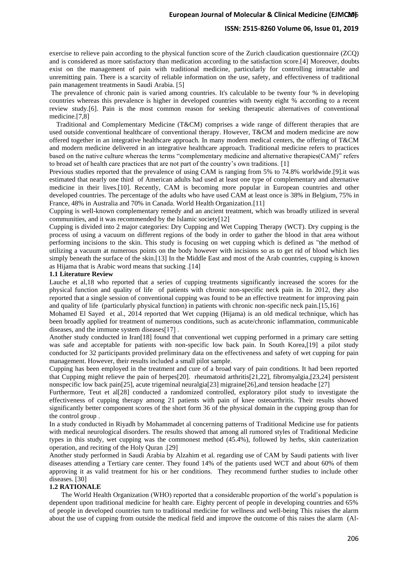## **ISSN: 2515-8260 Volume 06, Issue 01, 2019**

exercise to relieve pain according to the physical function score of the Zurich claudication questionnaire (ZCQ) and is considered as more satisfactory than medication according to the satisfaction score.[4] Moreover, doubts exist on the management of pain with traditional medicine, particularly for controlling intractable and unremitting pain. There is a scarcity of reliable information on the use, safety, and effectiveness of traditional pain management treatments in Saudi Arabia. [5]

The prevalence of chronic pain is varied among countries. It's calculable to be twenty four % in developing countries whereas this prevalence is higher in developed countries with twenty eight % according to a recent review study.[6]. Pain is the most common reason for seeking therapeutic alternatives of conventional medicine.[7,8]

 Traditional and Complementary Medicine (T&CM) comprises a wide range of different therapies that are used outside conventional healthcare of conventional therapy. However, T&CM and modern medicine are now offered together in an integrative healthcare approach. In many modern medical centers, the offering of T&CM and modern medicine delivered in an integrative healthcare approach. Traditional medicine refers to practices based on the native culture whereas the terms "complementary medicine and alternative therapies(CAM)" refers to broad set of health care practices that are not part of the country's own traditions. [1]

Previous studies reported that the prevalence of using CAM is ranging from 5% to 74.8% worldwide.[9].it was estimated that nearly one third of American adults had used at least one type of complementary and alternative medicine in their lives.[10]. Recently, CAM is becoming more popular in European countries and other developed countries. The percentage of the adults who have used CAM at least once is 38% in Belgium, 75% in France, 48% in Australia and 70% in Canada. World Health Organization.[11]

Cupping is well-known complementary remedy and an ancient treatment, which was broadly utilized in several communities, and it was recommended by the Islamic society[12]

Cupping is divided into 2 major categories: Dry Cupping and Wet Cupping Therapy (WCT). Dry cupping is the process of using a vacuum on different regions of the body in order to gather the blood in that area without performing incisions to the skin. This study is focusing on wet cupping which is defined as "the method of utilizing a vacuum at numerous points on the body however with incisions so as to get rid of blood which lies simply beneath the surface of the skin.[13] In the Middle East and most of the Arab countries, cupping is known as Hijama that is Arabic word means that sucking .[14]

## **1.1 Literature Review**

Lauche et al,18 who reported that a series of cupping treatments significantly increased the scores for the physical function and quality of life of patients with chronic non-specific neck pain in. In 2012, they also reported that a single session of conventional cupping was found to be an effective treatment for improving pain and quality of life (particularly physical function) in patients with chronic non-specific neck pain.[15,16]

Mohamed El Sayed et al., 2014 reported that Wet cupping (Hijama) is an old medical technique, which has been broadly applied for treatment of numerous conditions, such as acute/chronic inflammation, communicable diseases, and the immune system diseases  $[17]$ .

Another study conducted in Iran[18] found that conventional wet cupping performed in a primary care setting was safe and acceptable for patients with non-specific low back pain. In South Korea,[19] a pilot study conducted for 32 participants provided preliminary data on the effectiveness and safety of wet cupping for pain management. However, their results included a small pilot sample.

Cupping has been employed in the treatment and cure of a broad vary of pain conditions. It had been reported that Cupping might relieve the pain of herpes[20]. rheumatoid arthritis[21,22], fibromyalgia,[23,24] persistent nonspecific low back pain[25], acute trigeminal neuralgia[23] migraine[26],and tension headache [27]

Furthermore, Teut et al[28] conducted a randomized controlled, exploratory pilot study to investigate the effectiveness of cupping therapy among 21 patients with pain of knee osteoarthritis. Their results showed significantly better component scores of the short form 36 of the physical domain in the cupping group than for the control group .

In a study conducted in Riyadh by Mohammadet al concerning patterns of Traditional Medicine use for patients with medical neurological disorders. The results showed that among all rumored styles of Traditional Medicine types in this study, wet cupping was the commonest method (45.4%), followed by herbs, skin cauterization operation, and reciting of the Holy Quran .[29]

Another study performed in Saudi Arabia by Alzahim et al. regarding use of CAM by Saudi patients with liver diseases attending a Tertiary care center. They found 14% of the patients used WCT and about 60% of them approving it as valid treatment for his or her conditions. They recommend further studies to include other diseases. [30]

## **1.2 RATIONALE**

 The World Health Organization (WHO) reported that a considerable proportion of the world's population is dependent upon traditional medicine for health care. Eighty percent of people in developing countries and 65% of people in developed countries turn to traditional medicine for wellness and well-being This raises the alarm about the use of cupping from outside the medical field and improve the outcome of this raises the alarm (Al-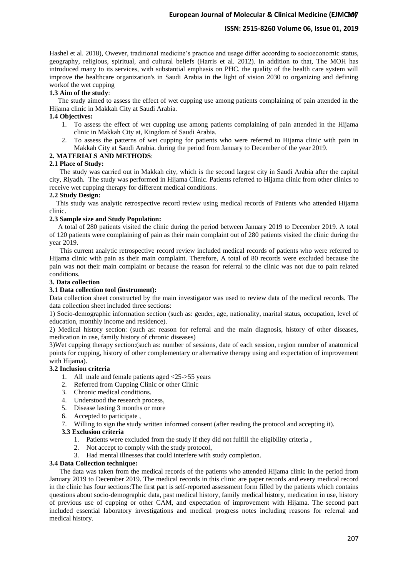## **ISSN: 2515-8260 Volume 06, Issue 01, 2019**

Hashel et al. 2018), Owever, traditional medicine's practice and usage differ according to socioeconomic status, geography, religious, spiritual, and cultural beliefs (Harris et al. 2012). In addition to that, The MOH has introduced many to its services, with substantial emphasis on PHC. the quality of the health care system will improve the healthcare organization's in Saudi Arabia in the light of vision 2030 to organizing and defining workof the wet cupping

## **1.3 Aim of the study**:

 The study aimed to assess the effect of wet cupping use among patients complaining of pain attended in the Hijama clinic in Makkah City at Saudi Arabia.

## **1.4 Objectives:**

- 1. To assess the effect of wet cupping use among patients complaining of pain attended in the Hijama clinic in Makkah City at, Kingdom of Saudi Arabia.
- 2. To assess the patterns of wet cupping for patients who were referred to Hijama clinic with pain in Makkah City at Saudi Arabia. during the period from January to December of the year 2019.

## **2. MATERIALS AND METHODS**:

## **2.1 Place of Study:**

 The study was carried out in Makkah city, which is the second largest city in Saudi Arabia after the capital city, Riyadh. The study was performed in Hijama Clinic. Patients referred to Hijama clinic from other clinics to receive wet cupping therapy for different medical conditions.

## **2.2 Study Design:**

 This study was analytic retrospective record review using medical records of Patients who attended Hijama clinic.

## **2.3 Sample size and Study Population:**

 A total of 280 patients visited the clinic during the period between January 2019 to December 2019. A total of 120 patients were complaining of pain as their main complaint out of 280 patients visited the clinic during the year 2019.

 This current analytic retrospective record review included medical records of patients who were referred to Hijama clinic with pain as their main complaint. Therefore, A total of 80 records were excluded because the pain was not their main complaint or because the reason for referral to the clinic was not due to pain related conditions.

## **3. Data collection**

## **3.1 Data collection tool (instrument):**

Data collection sheet constructed by the main investigator was used to review data of the medical records. The data collection sheet included three sections:

1) Socio-demographic information section (such as: gender, age, nationality, marital status, occupation, level of education, monthly income and residence).

2) Medical history section: (such as: reason for referral and the main diagnosis, history of other diseases, medication in use, family history of chronic diseases)

3)Wet cupping therapy section:(such as: number of sessions, date of each session, region number of anatomical points for cupping, history of other complementary or alternative therapy using and expectation of improvement with Hijama).

## **3.2 Inclusion criteria**

- 1. All male and female patients aged <25->55 years
- 2. Referred from Cupping Clinic or other Clinic
- 3. Chronic medical conditions.
- 4. Understood the research process,
- 5. Disease lasting 3 months or more
- 6. Accepted to participate ,

7. Willing to sign the study written informed consent (after reading the protocol and accepting it).

## **3.3 Exclusion criteria**

- 1. Patients were excluded from the study if they did not fulfill the eligibility criteria ,
- 2. Not accept to comply with the study protocol,
- 3. Had mental illnesses that could interfere with study completion.

## **3.4 Data Collection technique:**

 The data was taken from the medical records of the patients who attended Hijama clinic in the period from January 2019 to December 2019. The medical records in this clinic are paper records and every medical record in the clinic has four sections:The first part is self-reported assessment form filled by the patients which contains questions about socio-demographic data, past medical history, family medical history, medication in use, history of previous use of cupping or other CAM, and expectation of improvement with Hijama. The second part included essential laboratory investigations and medical progress notes including reasons for referral and medical history.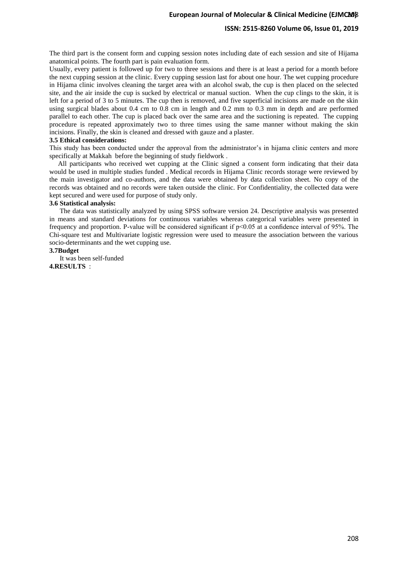## **ISSN: 2515-8260 Volume 06, Issue 01, 2019**

The third part is the consent form and cupping session notes including date of each session and site of Hijama anatomical points. The fourth part is pain evaluation form.

Usually, every patient is followed up for two to three sessions and there is at least a period for a month before the next cupping session at the clinic. Every cupping session last for about one hour. The wet cupping procedure in Hijama clinic involves cleaning the target area with an alcohol swab, the cup is then placed on the selected site, and the air inside the cup is sucked by electrical or manual suction. When the cup clings to the skin, it is left for a period of 3 to 5 minutes. The cup then is removed, and five superficial incisions are made on the skin using surgical blades about 0.4 cm to 0.8 cm in length and 0.2 mm to 0.3 mm in depth and are performed parallel to each other. The cup is placed back over the same area and the suctioning is repeated. The cupping procedure is repeated approximately two to three times using the same manner without making the skin incisions. Finally, the skin is cleaned and dressed with gauze and a plaster.

#### **3.5 Ethical considerations:**

This study has been conducted under the approval from the administrator's in hijama clinic centers and more specifically at Makkah before the beginning of study fieldwork .

 All participants who received wet cupping at the Clinic signed a consent form indicating that their data would be used in multiple studies funded . Medical records in Hijama Clinic records storage were reviewed by the main investigator and co-authors, and the data were obtained by data collection sheet. No copy of the records was obtained and no records were taken outside the clinic. For Confidentiality, the collected data were kept secured and were used for purpose of study only.

#### **3.6 Statistical analysis:**

 The data was statistically analyzed by using SPSS software version 24. Descriptive analysis was presented in means and standard deviations for continuous variables whereas categorical variables were presented in frequency and proportion. P-value will be considered significant if p<0.05 at a confidence interval of 95%. The Chi-square test and Multivariate logistic regression were used to measure the association between the various socio-determinants and the wet cupping use.

## **3.7Budget**

 It was been self-funded **4.RESULTS** :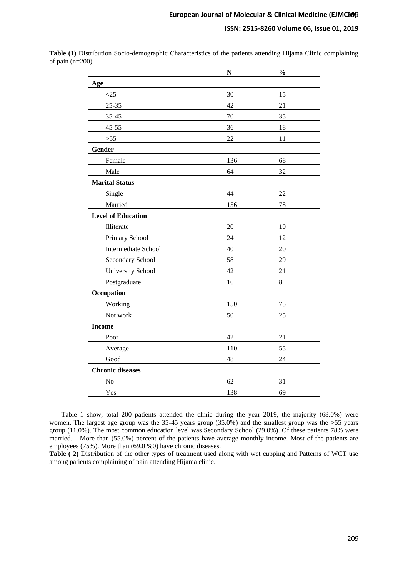|                           | ${\bf N}$ | $\frac{1}{2}$ |
|---------------------------|-----------|---------------|
| Age                       |           |               |
| <25                       | 30        | 15            |
| $25 - 35$                 | 42        | 21            |
| $35 - 45$                 | 70        | 35            |
| $45 - 55$                 | 36        | 18            |
| $>55$                     | 22        | 11            |
| Gender                    |           |               |
| Female                    | 136       | 68            |
| Male                      | 64        | 32            |
| <b>Marital Status</b>     |           |               |
| Single                    | 44        | $22\,$        |
| Married                   | 156       | 78            |
| <b>Level of Education</b> |           |               |
| Illiterate                | 20        | 10            |
| Primary School            | 24        | 12            |
| Intermediate School       | 40        | 20            |
| Secondary School          | 58        | 29            |
| <b>University School</b>  | 42        | 21            |
| Postgraduate              | 16        | 8             |
| Occupation                |           |               |
| Working                   | 150       | 75            |
| Not work                  | 50        | 25            |
| <b>Income</b>             |           |               |
| Poor                      | 42        | 21            |
| Average                   | 110       | 55            |
| Good                      | 48        | 24            |
| <b>Chronic diseases</b>   |           |               |
| No                        | 62        | 31            |
| Yes                       | 138       | 69            |

**Table (1)** Distribution Socio-demographic Characteristics of the patients attending Hijama Clinic complaining of pain (n=200)

 Table 1 show, total 200 patients attended the clinic during the year 2019, the majority (68.0%) were women. The largest age group was the 35-45 years group (35.0%) and the smallest group was the >55 years group (11.0%). The most common education level was Secondary School (29.0%). Of these patients 78% were married. More than (55.0%) percent of the patients have average monthly income. Most of the patients are employees (75%). More than (69.0 %0) have chronic diseases.

**Table ( 2)** Distribution of the other types of treatment used along with wet cupping and Patterns of WCT use among patients complaining of pain attending Hijama clinic.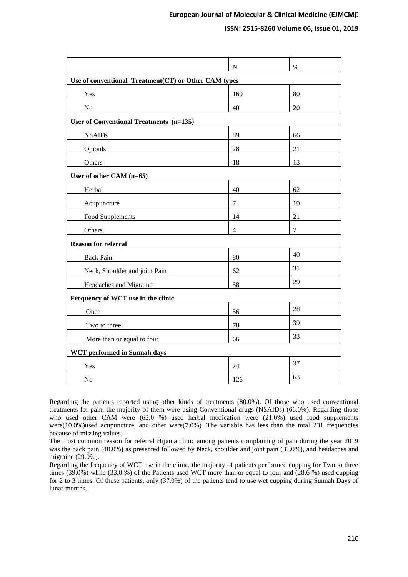|                                                      | $\mathbf N$    | $\%$ |  |  |  |
|------------------------------------------------------|----------------|------|--|--|--|
| Use of conventional Treatment(CT) or Other CAM types |                |      |  |  |  |
| Yes                                                  | 160            | 80   |  |  |  |
| N <sub>o</sub>                                       | 40             | 20   |  |  |  |
| User of Conventional Treatments (n=135)              |                |      |  |  |  |
| <b>NSAIDs</b>                                        | 89             | 66   |  |  |  |
| Opioids                                              | 28             | 21   |  |  |  |
| Others                                               | 18             | 13   |  |  |  |
| User of other CAM (n=65)                             |                |      |  |  |  |
| Herbal                                               | 40             | 62   |  |  |  |
| Acupuncture                                          | $\overline{7}$ | 10   |  |  |  |
| Food Supplements                                     | 14             | 21   |  |  |  |
| Others                                               | $\overline{4}$ | 7    |  |  |  |
| <b>Reason for referral</b>                           |                |      |  |  |  |
| <b>Back Pain</b>                                     | 80             | 40   |  |  |  |
| Neck, Shoulder and joint Pain                        | 62             | 31   |  |  |  |
| Headaches and Migraine                               | 58             | 29   |  |  |  |
| Frequency of WCT use in the clinic                   |                |      |  |  |  |
| Once                                                 | 56             | 28   |  |  |  |
| Two to three                                         | 78             | 39   |  |  |  |
| More than or equal to four                           | 66             | 33   |  |  |  |
| <b>WCT</b> performed in Sunnah days                  |                |      |  |  |  |
| Yes                                                  | 74             | 37   |  |  |  |
| N <sub>o</sub>                                       | 126            | 63   |  |  |  |

Regarding the patients reported using other kinds of treatments (80.0%). Of those who used conventional treatments for pain, the majority of them were using Conventional drugs (NSAIDs) (66.0%). Regarding those who used other CAM were (62.0 %) used herbal medication were (21.0%) used food supplements were(10.0%)used acupuncture, and other were(7.0%). The variable has less than the total 231 frequencies because of missing values.

The most common reason for referral Hijama clinic among patients complaining of pain during the year 2019 was the back pain (40.0%) as presented followed by Neck, shoulder and joint pain (31.0%), and headaches and migraine (29.0%).

Regarding the frequency of WCT use in the clinic, the majority of patients performed cupping for Two to three times (39.0%) while (33.0 %) of the Patients used WCT more than or equal to four and (28.6 %) used cupping for 2 to 3 times. Of these patients, only (37.0%) of the patients tend to use wet cupping during Sunnah Days of lunar months.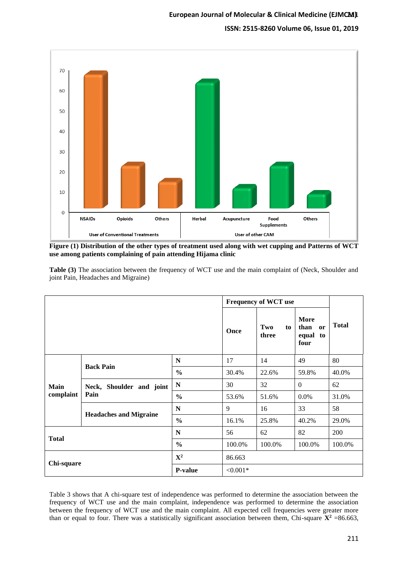

**Figure (1) Distribution of the other types of treatment used along with wet cupping and Patterns of WCT use among patients complaining of pain attending Hijama clinic**

|                          |                                  | <b>Frequency of WCT use</b> |            |                    |                                        |              |  |
|--------------------------|----------------------------------|-----------------------------|------------|--------------------|----------------------------------------|--------------|--|
|                          |                                  |                             | Once       | Two<br>to<br>three | More<br>than<br>or<br>equal to<br>four | <b>Total</b> |  |
| <b>Main</b><br>complaint | <b>Back Pain</b>                 | N                           | 17         | 14                 | 49                                     | 80           |  |
|                          |                                  | $\frac{0}{0}$               | 30.4%      | 22.6%              | 59.8%                                  | 40.0%        |  |
|                          | Neck, Shoulder and joint<br>Pain | N                           | 30         | 32                 | $\overline{0}$                         | 62           |  |
|                          |                                  | $\frac{0}{0}$               | 53.6%      | 51.6%              | $0.0\%$                                | 31.0%        |  |
|                          | <b>Headaches and Migraine</b>    | N                           | 9          | 16                 | 33                                     | 58           |  |
|                          |                                  | $\frac{0}{0}$               | 16.1%      | 25.8%              | 40.2%                                  | 29.0%        |  |
| <b>Total</b>             |                                  | N                           | 56         | 62                 | 82                                     | 200          |  |
|                          |                                  | $\frac{0}{0}$               | 100.0%     | 100.0%             | 100.0%                                 | 100.0%       |  |
| Chi-square               |                                  | ${\bf X}^2$                 | 86.663     |                    |                                        |              |  |
|                          |                                  | <b>P-value</b>              | $< 0.001*$ |                    |                                        |              |  |

**Table (3)** The association between the frequency of WCT use and the main complaint of (Neck, Shoulder and joint Pain, Headaches and Migraine)

Table 3 shows that A chi-square test of independence was performed to determine the association between the frequency of WCT use and the main complaint, independence was performed to determine the association between the frequency of WCT use and the main complaint. All expected cell frequencies were greater more than or equal to four. There was a statistically significant association between them, Chi-square  $\mathbf{X}^2$  =86.663,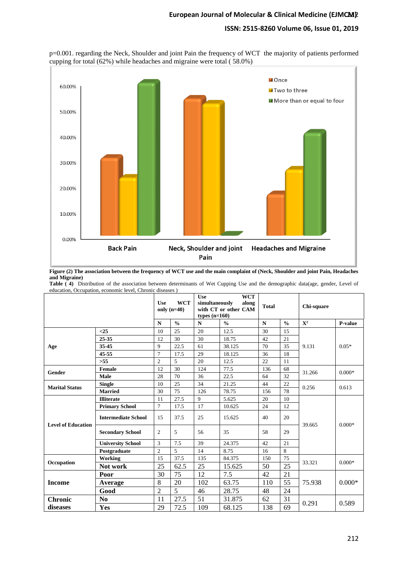



**Figure (2) The association between the frequency of WCT use and the main complaint of (Neck, Shoulder and joint Pain, Headaches and Migraine)**

**Table ( 4)** Distribution of the association between determinants of Wet Cupping Use and the demographic data(age, gender, Level of education, Occupation, economic level, Chronic diseases )

|                           |                            | <b>Use</b>     | <b>WCT</b><br>only $(n=40)$ | <b>Use</b><br><b>WCT</b><br>simultaneously<br>along<br>with CT or other CAM<br>types $(n=160)$ |               | <b>Total</b> |               | Chi-square     |          |
|---------------------------|----------------------------|----------------|-----------------------------|------------------------------------------------------------------------------------------------|---------------|--------------|---------------|----------------|----------|
|                           |                            | $\mathbf N$    | $\frac{0}{0}$               | $\mathbf N$                                                                                    | $\frac{0}{0}$ | $\mathbf N$  | $\frac{0}{0}$ | $\mathbf{X}^2$ | P-value  |
|                           | $\leq$ 25                  | 10             | 25                          | 20                                                                                             | 12.5          | 30           | 15            |                | $0.05*$  |
|                           | 25-35                      | 12             | 30                          | 30                                                                                             | 18.75         | 42           | 21            |                |          |
| Age                       | 35-45                      | 9              | 22.5                        | 61                                                                                             | 38.125        | 70           | 35            | 9.131          |          |
|                           | 45-55                      | $\tau$         | 17.5                        | 29                                                                                             | 18.125        | 36           | 18            |                |          |
|                           | $>55$                      | $\overline{2}$ | 5                           | 20                                                                                             | 12.5          | 22           | 11            |                |          |
| Gender                    | Female                     | 12             | 30                          | 124                                                                                            | 77.5          | 136          | 68            | 31.266         | $0.000*$ |
|                           | Male                       | 28             | 70                          | 36                                                                                             | 22.5          | 64           | 32            |                |          |
| <b>Marital Status</b>     | <b>Single</b>              | 10             | 25                          | 34                                                                                             | 21.25         | 44           | 22            | 0.256          | 0.613    |
|                           | <b>Married</b>             | 30             | 75                          | 126                                                                                            | 78.75         | 156          | 78            |                |          |
| <b>Level of Education</b> | <b>Illiterate</b>          | 11             | 27.5                        | 9                                                                                              | 5.625         | 20           | 10            | 39.665         | $0.000*$ |
|                           | <b>Primary School</b>      | $\tau$         | 17.5                        | 17                                                                                             | 10.625        | 24           | 12            |                |          |
|                           | <b>Intermediate School</b> | 15             | 37.5                        | 25                                                                                             | 15.625        | 40           | 20            |                |          |
|                           | <b>Secondary School</b>    | $\overline{c}$ | 5                           | 56                                                                                             | 35            | 58           | 29            |                |          |
|                           | <b>University School</b>   | 3              | 7.5                         | 39                                                                                             | 24.375        | 42           | 21            |                |          |
|                           | Postgraduate               | $\overline{c}$ | 5                           | 14                                                                                             | 8.75          | 16           | 8             |                |          |
| Occupation                | Working                    | 15             | 37.5                        | 135                                                                                            | 84.375        | 150          | 75            | 33.321         | $0.000*$ |
|                           | Not work                   | 25             | 62.5                        | 25                                                                                             | 15.625        | 50           | 25            |                |          |
| <b>Income</b>             | Poor                       | 30             | 75                          | 12                                                                                             | 7.5           | 42           | 21            | 75.938         | $0.000*$ |
|                           | Average                    | 8              | 20                          | 102                                                                                            | 63.75         | 110          | 55            |                |          |
|                           | Good                       | $\overline{2}$ | 5                           | 46                                                                                             | 28.75         | 48           | 24            |                |          |
| <b>Chronic</b>            | N <sub>0</sub>             | 11             | 27.5                        | 51                                                                                             | 31.875        | 62           | 31            | 0.291          | 0.589    |
| diseases                  | <b>Yes</b>                 | 29             | 72.5                        | 109                                                                                            | 68.125        | 138          | 69            |                |          |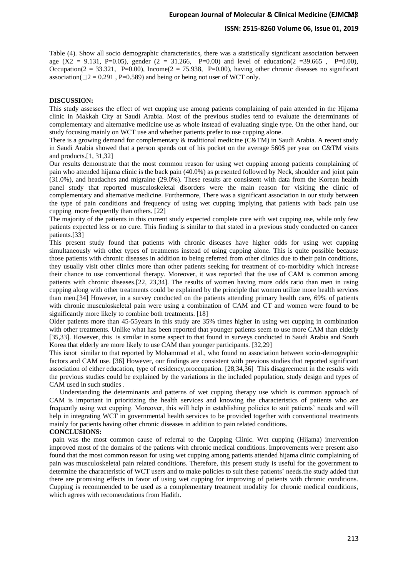Table (4). Show all socio demographic characteristics, there was a statistically significant association between age  $(X2 = 9.131, P=0.05)$ , gender  $(2 = 31.266, P=0.00)$  and level of education(2 = 39.665, P=0.00), Occupation( $2 = 33.321$ , P=0.00), Income( $2 = 75.938$ , P=0.00), having other chronic diseases no significant association( $\Box$ 2 = 0.291, P=0.589) and being or being not user of WCT only.

## **DISCUSSION:**

This study assesses the effect of wet cupping use among patients complaining of pain attended in the Hijama clinic in Makkah City at Saudi Arabia. Most of the previous studies tend to evaluate the determinants of complementary and alternative medicine use as whole instead of evaluating single type. On the other hand, our study focusing mainly on WCT use and whether patients prefer to use cupping alone .

There is a growing demand for complementary & traditional medicine (C&TM) in Saudi Arabia. A recent study in Saudi Arabia showed that a person spends out of his pocket on the average 560\$ per year on C&TM visits and products.[1, 31,32]

Our results demonstrate that the most common reason for using wet cupping among patients complaining of pain who attended hijama clinic is the back pain (40.0%) as presented followed by Neck, shoulder and joint pain (31.0%), and headaches and migraine (29.0%). These results are consistent with data from the Korean health panel study that reported musculoskeletal disorders were the main reason for visiting the clinic of complementary and alternative medicine. Furthermore, There was a significant association in our study between the type of pain conditions and frequency of using wet cupping implying that patients with back pain use cupping more frequently than others. [22]

The majority of the patients in this current study expected complete cure with wet cupping use, while only few patients expected less or no cure. This finding is similar to that stated in a previous study conducted on cancer patients.[33]

This present study found that patients with chronic diseases have higher odds for using wet cupping simultaneously with other types of treatments instead of using cupping alone. This is quite possible because those patients with chronic diseases in addition to being referred from other clinics due to their pain conditions, they usually visit other clinics more than other patients seeking for treatment of co-morbidity which increase their chance to use conventional therapy. Moreover, it was reported that the use of CAM is common among patients with chronic diseases.[22, 23,34]. The results of women having more odds ratio than men in using cupping along with other treatments could be explained by the principle that women utilize more health services than men.[34] However, in a survey conducted on the patients attending primary health care, 69% of patients with chronic musculoskeletal pain were using a combination of CAM and CT and women were found to be significantly more likely to combine both treatments. [18]

Older patients more than 45-55years in this study are 35% times higher in using wet cupping in combination with other treatments. Unlike what has been reported that younger patients seem to use more CAM than elderly [35,33]. However, this is similar in some aspect to that found in surveys conducted in Saudi Arabia and South Korea that elderly are more likely to use CAM than younger participants. [32,29]

This isnot similar to that reported by Mohammad et al., who found no association between socio-demographic factors and CAM use. [36] However, our findings are consistent with previous studies that reported significant association of either education, type of residency,oroccupation. [28,34,36] This disagreement in the results with the previous studies could be explained by the variations in the included population, study design and types of CAM used in such studies .

 Understanding the determinants and patterns of wet cupping therapy use which is common approach of CAM is important in prioritizing the health services and knowing the characteristics of patients who are frequently using wet cupping. Moreover, this will help in establishing policies to suit patients' needs and will help in integrating WCT in governmental health services to be provided together with conventional treatments mainly for patients having other chronic diseases in addition to pain related conditions. **CONCLUSIONS:**

 pain was the most common cause of referral to the Cupping Clinic. Wet cupping (Hijama) intervention improved most of the domains of the patients with chronic medical conditions. Improvements were present also found that the most common reason for using wet cupping among patients attended hijama clinic complaining of pain was musculoskeletal pain related conditions. Therefore, this present study is useful for the government to determine the characteristic of WCT users and to make policies to suit these patients' needs.the study added that there are promising effects in favor of using wet cupping for improving of patients with chronic conditions. Cupping is recommended to be used as a complementary treatment modality for chronic medical conditions, which agrees with recomendations from Hadith.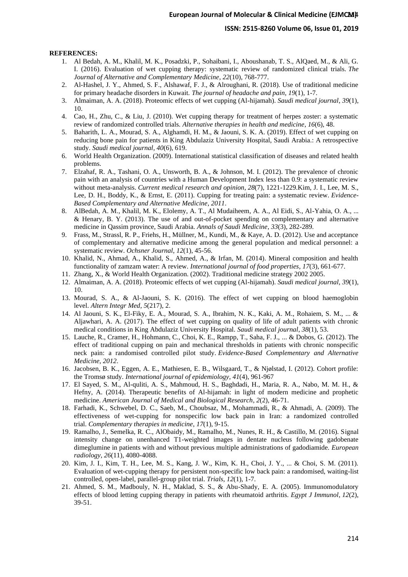## **ISSN: 2515-8260 Volume 06, Issue 01, 2019**

#### **REFERENCES:**

- 1. Al Bedah, A. M., Khalil, M. K., Posadzki, P., Sohaibani, I., Aboushanab, T. S., AlQaed, M., & Ali, G. I. (2016). Evaluation of wet cupping therapy: systematic review of randomized clinical trials. *The Journal of Alternative and Complementary Medicine*, *22*(10), 768-777.
- 2. Al-Hashel, J. Y., Ahmed, S. F., Alshawaf, F. J., & Alroughani, R. (2018). Use of traditional medicine for primary headache disorders in Kuwait. *The journal of headache and pain*, *19*(1), 1-7.
- 3. Almaiman, A. A. (2018). Proteomic effects of wet cupping (Al-hijamah). *Saudi medical journal*, *39*(1), 10.
- 4. Cao, H., Zhu, C., & Liu, J. (2010). Wet cupping therapy for treatment of herpes zoster: a systematic review of randomized controlled trials. *Alternative therapies in health and medicine*, *16*(6), 48.
- 5. Baharith, L. A., Mourad, S. A., Alghamdi, H. M., & Jaouni, S. K. A. (2019). Effect of wet cupping on reducing bone pain for patients in King Abdulaziz University Hospital, Saudi Arabia.: A retrospective study. *Saudi medical journal*, *40*(6), 619.
- 6. World Health Organization. (2009). International statistical classification of diseases and related health problems.
- 7. Elzahaf, R. A., Tashani, O. A., Unsworth, B. A., & Johnson, M. I. (2012). The prevalence of chronic pain with an analysis of countries with a Human Development Index less than 0.9: a systematic review without meta-analysis. *Current medical research and opinion*, *28*(7), 1221-1229.Kim, J. I., Lee, M. S., Lee, D. H., Boddy, K., & Ernst, E. (2011). Cupping for treating pain: a systematic review. *Evidence-Based Complementary and Alternative Medicine*, *2011*.
- 8. AlBedah, A. M., Khalil, M. K., Elolemy, A. T., Al Mudaiheem, A. A., Al Eidi, S., Al-Yahia, O. A., ... & Henary, B. Y. (2013). The use of and out-of-pocket spending on complementary and alternative medicine in Qassim province, Saudi Arabia. *Annals of Saudi Medicine*, *33*(3), 282-289.
- 9. Frass, M., Strassl, R. P., Friehs, H., Müllner, M., Kundi, M., & Kaye, A. D. (2012). Use and acceptance of complementary and alternative medicine among the general population and medical personnel: a systematic review. *Ochsner Journal*, *12*(1), 45-56.
- 10. Khalid, N., Ahmad, A., Khalid, S., Ahmed, A., & Irfan, M. (2014). Mineral composition and health functionality of zamzam water: A review. *International journal of food properties*, *17*(3), 661-677.
- 11. Zhang, X., & World Health Organization. (2002). Traditional medicine strategy 2002 2005.
- 12. Almaiman, A. A. (2018). Proteomic effects of wet cupping (Al-hijamah). *Saudi medical journal*, *39*(1), 10.
- 13. Mourad, S. A., & Al-Jaouni, S. K. (2016). The effect of wet cupping on blood haemoglobin level. *Altern Integr Med*, *5*(217), 2.
- 14. Al Jaouni, S. K., El-Fiky, E. A., Mourad, S. A., Ibrahim, N. K., Kaki, A. M., Rohaiem, S. M., ... & Aljawhari, A. A. (2017). The effect of wet cupping on quality of life of adult patients with chronic medical conditions in King Abdulaziz University Hospital. *Saudi medical journal*, *38*(1), 53.
- 15. Lauche, R., Cramer, H., Hohmann, C., Choi, K. E., Rampp, T., Saha, F. J., ... & Dobos, G. (2012). The effect of traditional cupping on pain and mechanical thresholds in patients with chronic nonspecific neck pain: a randomised controlled pilot study. *Evidence-Based Complementary and Alternative Medicine*, *2012*.
- 16. Jacobsen, B. K., Eggen, A. E., Mathiesen, E. B., Wilsgaard, T., & Njølstad, I. (2012). Cohort profile: the Tromsø study. *International journal of epidemiology*, *41*(4), 961-967
- 17. El Sayed, S. M., Al-quliti, A. S., Mahmoud, H. S., Baghdadi, H., Maria, R. A., Nabo, M. M. H., & Hefny, A. (2014). Therapeutic benefits of Al-hijamah: in light of modern medicine and prophetic medicine. *American Journal of Medical and Biological Research*, *2*(2), 46-71.
- 18. Farhadi, K., Schwebel, D. C., Saeb, M., Choubsaz, M., Mohammadi, R., & Ahmadi, A. (2009). The effectiveness of wet-cupping for nonspecific low back pain in Iran: a randomized controlled trial. *Complementary therapies in medicine*, *17*(1), 9-15.
- 19. Ramalho, J., Semelka, R. C., AlObaidy, M., Ramalho, M., Nunes, R. H., & Castillo, M. (2016). Signal intensity change on unenhanced T1-weighted images in dentate nucleus following gadobenate dimeglumine in patients with and without previous multiple administrations of gadodiamide. *European radiology*, *26*(11), 4080-4088.
- 20. Kim, J. I., Kim, T. H., Lee, M. S., Kang, J. W., Kim, K. H., Choi, J. Y., ... & Choi, S. M. (2011). Evaluation of wet-cupping therapy for persistent non-specific low back pain: a randomised, waiting-list controlled, open-label, parallel-group pilot trial. *Trials*, *12*(1), 1-7.
- 21. Ahmed, S. M., Madbouly, N. H., Maklad, S. S., & Abu-Shady, E. A. (2005). Immunomodulatory effects of blood letting cupping therapy in patients with rheumatoid arthritis. *Egypt J Immunol*, *12*(2), 39-51.